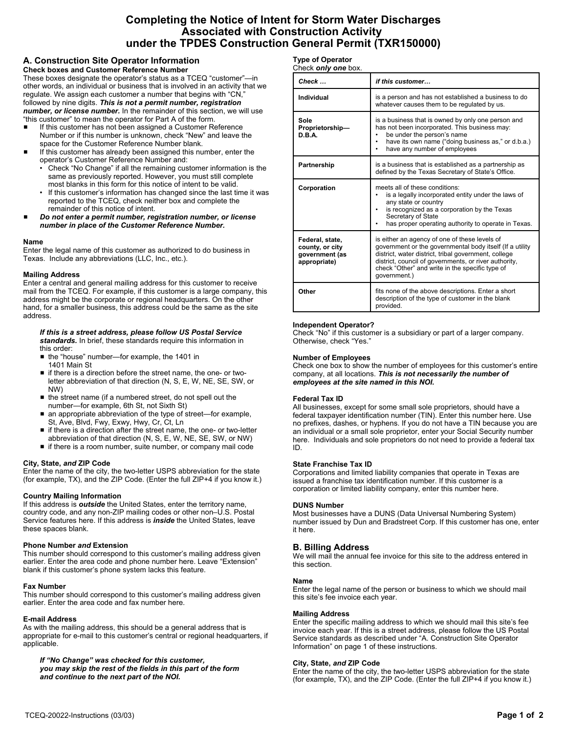# **Completing the Notice of Intent for Storm Water Discharges Associated with Construction Activity under the TPDES Construction General Permit (TXR150000)**

# **A. Construction Site Operator Information**

**Check boxes and Customer Reference Number** These boxes designate the operator's status as a TCEQ "customer"—in other words, an individual or business that is involved in an activity that we regulate. We assign each customer a number that begins with "CN," followed by nine digits. *This is not a permit number, registration number, or license number.* In the remainder of this section, we will use

"this customer" to mean the operator for Part A of the form. If this customer has not been assigned a Customer Reference

- Number or if this number is unknown, check "New" and leave the space for the Customer Reference Number blank.
- If this customer has already been assigned this number, enter the operator's Customer Reference Number and:
	- Check "No Change" if all the remaining customer information is the same as previously reported. However, you must still complete most blanks in this form for this notice of intent to be valid.
	- If this customer's information has changed since the last time it was reported to the TCEQ, check neither box and complete the remainder of this notice of intent.
- # *Do not enter a permit number, registration number, or license number in place of the Customer Reference Number.*

# **Name**

Enter the legal name of this customer as authorized to do business in Texas. Include any abbreviations (LLC, Inc., etc.).

# **Mailing Address**

Enter a central and general mailing address for this customer to receive mail from the TCEQ. For example, if this customer is a large company, this address might be the corporate or regional headquarters. On the other hand, for a smaller business, this address could be the same as the site address.

#### *If this is a street address, please follow US Postal Service standards.* In brief, these standards require this information in this order:

- the "house" number—for example, the 1401 in 1401 Main St
- $\blacksquare$  if there is a direction before the street name, the one- or twoletter abbreviation of that direction (N, S, E, W, NE, SE, SW, or NW)
- $\blacksquare$  the street name (if a numbered street, do not spell out the number—for example, 6th St, not Sixth St)
- an appropriate abbreviation of the type of street—for example, St, Ave, Blvd, Fwy, Exwy, Hwy, Cr, Ct, Ln
- if there is a direction after the street name, the one- or two-letter abbreviation of that direction (N, S, E, W, NE, SE, SW, or NW)
- $\blacksquare$  if there is a room number, suite number, or company mail code

# **City, State,** *and* **ZIP Code**

Enter the name of the city, the two-letter USPS abbreviation for the state (for example, TX), and the ZIP Code. (Enter the full ZIP+4 if you know it.)

# **Country Mailing Information**

If this address is *outside* the United States, enter the territory name, country code, and any non-ZIP mailing codes or other non–U.S. Postal Service features here. If this address is *inside* the United States, leave these spaces blank.

# **Phone Number** *and* **Extension**

This number should correspond to this customer's mailing address given earlier. Enter the area code and phone number here. Leave "Extension" blank if this customer's phone system lacks this feature.

# **Fax Number**

This number should correspond to this customer's mailing address given earlier. Enter the area code and fax number here.

#### **E-mail Address**

As with the mailing address, this should be a general address that is appropriate for e-mail to this customer's central or regional headquarters, if applicable.

*If "No Change" was checked for this customer, you may skip the rest of the fields in this part of the form and continue to the next part of the NOI.*

# **Type of Operator**

| Check <b>only one</b> box. |
|----------------------------|
|----------------------------|

| Check                                                                | if this customer                                                                                                                                                                                                                                                                              |
|----------------------------------------------------------------------|-----------------------------------------------------------------------------------------------------------------------------------------------------------------------------------------------------------------------------------------------------------------------------------------------|
| Individual                                                           | is a person and has not established a business to do<br>whatever causes them to be regulated by us.                                                                                                                                                                                           |
| Sole<br>Proprietorship-<br>D.B.A.                                    | is a business that is owned by only one person and<br>has not been incorporated. This business may:<br>be under the person's name<br>have its own name ("doing business as," or d.b.a.)<br>have any number of employees                                                                       |
| Partnership                                                          | is a business that is established as a partnership as<br>defined by the Texas Secretary of State's Office.                                                                                                                                                                                    |
| Corporation                                                          | meets all of these conditions:<br>is a legally incorporated entity under the laws of<br>any state or country<br>is recognized as a corporation by the Texas<br>Secretary of State<br>has proper operating authority to operate in Texas.                                                      |
| Federal, state,<br>county, or city<br>government (as<br>appropriate) | is either an agency of one of these levels of<br>government or the governmental body itself (If a utility<br>district, water district, tribal government, college<br>district, council of governments, or river authority,<br>check "Other" and write in the specific type of<br>government.) |
| Other                                                                | fits none of the above descriptions. Enter a short<br>description of the type of customer in the blank<br>provided.                                                                                                                                                                           |

#### **Independent Operator?**

Check "No" if this customer is a subsidiary or part of a larger company. Otherwise, check "Yes."

#### **Number of Employees**

Check one box to show the number of employees for this customer's entire company, at all locations. *This is not necessarily the number of employees at the site named in this NOI.*

#### **Federal Tax ID**

All businesses, except for some small sole proprietors, should have a federal taxpayer identification number (TIN). Enter this number here. Use no prefixes, dashes, or hyphens. If you do not have a TIN because you are an individual or a small sole proprietor, enter your Social Security number here. Individuals and sole proprietors do not need to provide a federal tax ID.

#### **State Franchise Tax ID**

Corporations and limited liability companies that operate in Texas are issued a franchise tax identification number. If this customer is a corporation or limited liability company, enter this number here.

#### **DUNS Number**

Most businesses have a DUNS (Data Universal Numbering System) number issued by Dun and Bradstreet Corp. If this customer has one, enter it here.

# **B. Billing Address**

We will mail the annual fee invoice for this site to the address entered in this section.

#### **Name**

Enter the legal name of the person or business to which we should mail this site's fee invoice each year.

#### **Mailing Address**

Enter the specific mailing address to which we should mail this site's fee invoice each year. If this is a street address, please follow the US Postal Service standards as described under "A. Construction Site Operator Information" on page 1 of these instructions.

### **City, State,** *and* **ZIP Code**

Enter the name of the city, the two-letter USPS abbreviation for the state (for example, TX), and the ZIP Code. (Enter the full ZIP+4 if you know it.)